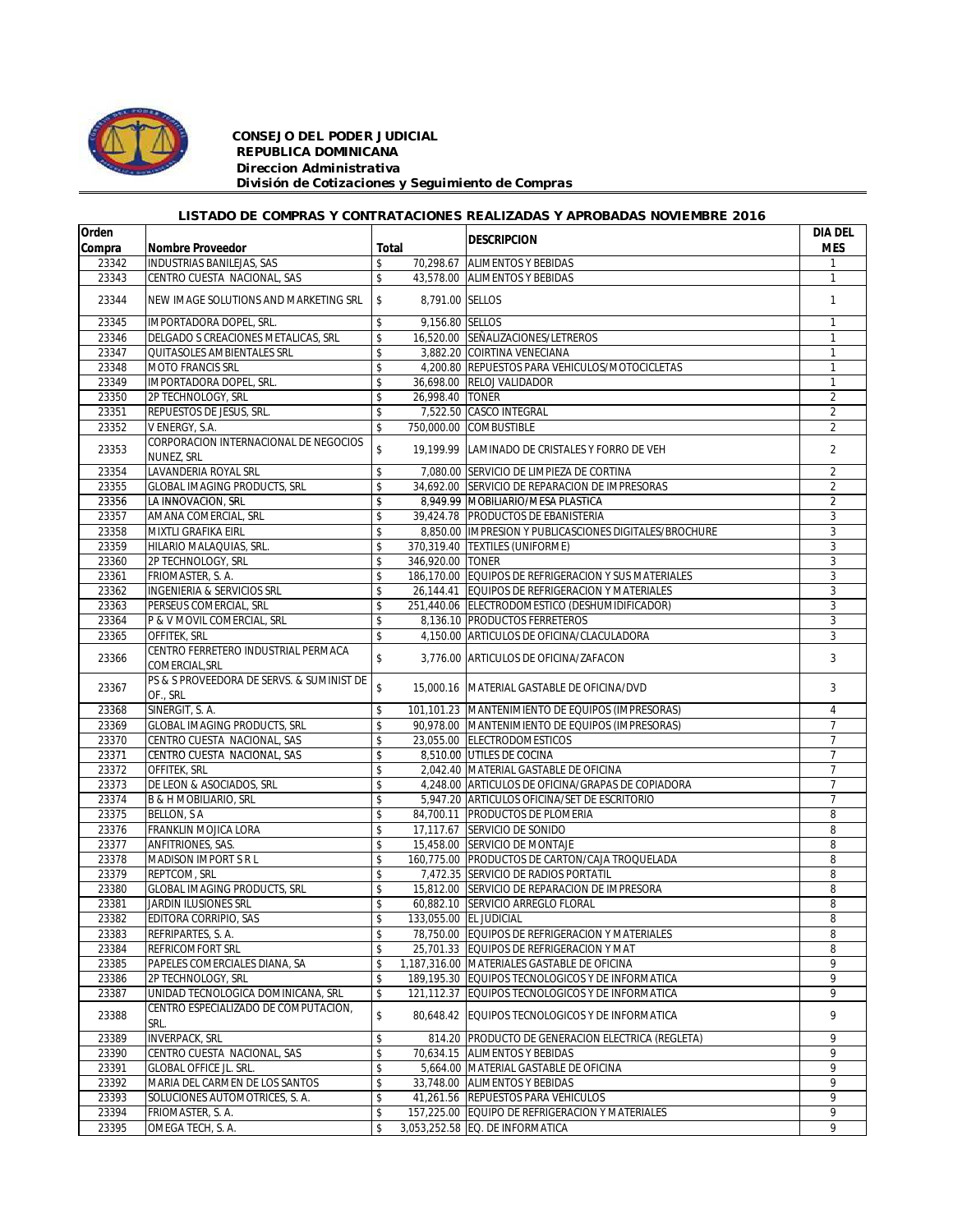

## *CONSEJO DEL PODER JUDICIAL REPUBLICA DOMINICANA Direccion Administrativa División de Cotizaciones y Seguimiento de Compras*

## *LISTADO DE COMPRAS Y CONTRATACIONES REALIZADAS Y APROBADAS NOVIEMBRE 2016*

| Orden  |                                                       |              |                  | <b>DESCRIPCION</b>                                     | <b>DIA DEL</b> |
|--------|-------------------------------------------------------|--------------|------------------|--------------------------------------------------------|----------------|
| Compra | <b>Nombre Proveedor</b>                               | Total        |                  |                                                        | <b>MES</b>     |
| 23342  | <b>INDUSTRIAS BANILEJAS, SAS</b>                      | \$           | 70,298.67        | <b>ALIMENTOS Y BEBIDAS</b>                             |                |
| 23343  | CENTRO CUESTA NACIONAL, SAS                           | \$           |                  | 43,578.00 ALIMENTOS Y BEBIDAS                          | $\mathbf{1}$   |
| 23344  | NEW IMAGE SOLUTIONS AND MARKETING SRL                 | \$           |                  | 8,791.00 SELLOS                                        | $\mathbf{1}$   |
| 23345  | IMPORTADORA DOPEL, SRL.                               | \$           |                  | 9,156.80 SELLOS                                        | $\mathbf{1}$   |
| 23346  | DELGADO S CREACIONES METALICAS. SRL                   | \$           |                  | 16,520.00 SEÑALIZACIONES/LETREROS                      | 1              |
| 23347  | QUITASOLES AMBIENTALES SRL                            | \$           |                  | 3,882.20 COIRTINA VENECIANA                            | $\mathbf{1}$   |
| 23348  | <b>MOTO FRANCIS SRL</b>                               | \$           |                  | 4,200.80 REPUESTOS PARA VEHICULOS/MOTOCICLETAS         | 1              |
| 23349  | IMPORTADORA DOPEL, SRL.                               | \$           |                  | 36,698.00 RELOJ VALIDADOR                              | $\mathbf{1}$   |
| 23350  | 2P TECHNOLOGY, SRL                                    | \$           | 26.998.40 TONER  |                                                        | $\overline{2}$ |
| 23351  | REPUESTOS DE JESUS, SRL.                              | \$           |                  | 7,522.50 CASCO INTEGRAL                                | $\overline{2}$ |
| 23352  | V ENERGY, S.A.                                        | \$           |                  | 750,000.00 COMBUSTIBLE                                 | $\overline{2}$ |
| 23353  | CORPORACION INTERNACIONAL DE NEGOCIOS<br>NUNEZ, SRL   | \$           |                  | 19.199.99 LAMINADO DE CRISTALES Y FORRO DE VEH         | $\overline{2}$ |
| 23354  | LAVANDERIA ROYAL SRL                                  | \$           |                  | 7,080.00 SERVICIO DE LIMPIEZA DE CORTINA               | $\overline{2}$ |
| 23355  | <b>GLOBAL IMAGING PRODUCTS, SRL</b>                   | \$           |                  | 34,692.00 SERVICIO DE REPARACION DE IMPRESORAS         | $\overline{2}$ |
| 23356  | LA INNOVACION, SRL                                    | \$           |                  | 8,949.99 MOBILIARIO/MESA PLASTICA                      | $\overline{2}$ |
| 23357  | AMANA COMERCIAL, SRL                                  | \$           |                  | 39,424.78 PRODUCTOS DE EBANISTERIA                     | 3              |
| 23358  | MIXTLI GRAFIKA EIRL                                   | \$           |                  | 8,850.00 IMPRESION Y PUBLICASCIONES DIGITALES/BROCHURE | 3              |
| 23359  | HILARIO MALAQUIAS, SRL.                               | \$           |                  | 370,319.40 TEXTILES (UNIFORME)                         | 3              |
| 23360  | 2P TECHNOLOGY, SRL                                    | \$           | 346,920.00 TONER |                                                        | 3              |
| 23361  | FRIOMASTER, S. A.                                     | \$           |                  | 186,170.00 EQUIPOS DE REFRIGERACION Y SUS MATERIALES   | 3              |
| 23362  | <b>INGENIERIA &amp; SERVICIOS SRL</b>                 | \$           |                  | 26,144.41 EQUIPOS DE REFRIGERACION Y MATERIALES        | 3              |
| 23363  | PERSEUS COMERCIAL, SRL                                | \$           |                  | 251,440.06 ELECTRODOMESTICO (DESHUMIDIFICADOR)         | 3              |
| 23364  | P & V MOVIL COMERCIAL, SRL                            | \$           |                  | 8,136.10 PRODUCTOS FERRETEROS                          | 3              |
| 23365  | OFFITEK, SRL                                          | \$           |                  | 4,150.00 ARTICULOS DE OFICINA/CLACULADORA              | 3              |
| 23366  | CENTRO FERRETERO INDUSTRIAL PERMACA<br>COMERCIAL, SRL | \$           |                  | 3.776.00 ARTICULOS DE OFICINA/ZAFACON                  | 3              |
| 23367  | PS & S PROVEEDORA DE SERVS. & SUMINIST DE<br>OF., SRL | $\mathsf{s}$ |                  | 15,000.16   MATERIAL GASTABLE DE OFICINA/DVD           | 3              |
| 23368  | SINERGIT, S. A.                                       | \$           |                  | 101,101.23 MANTENIMIENTO DE EQUIPOS (IMPRESORAS)       | $\overline{4}$ |
| 23369  | <b>GLOBAL IMAGING PRODUCTS, SRL</b>                   | \$           |                  | 90,978.00 MANTENIMIENTO DE EQUIPOS (IMPRESORAS)        | $\overline{7}$ |
| 23370  | CENTRO CUESTA NACIONAL, SAS                           | \$           |                  | 23,055.00 ELECTRODOMESTICOS                            | $\overline{7}$ |
| 23371  | CENTRO CUESTA NACIONAL, SAS                           | \$           |                  | 8,510.00 UTILES DE COCINA                              | $\overline{7}$ |
| 23372  | OFFITEK, SRL                                          | \$           |                  | 2,042.40 MATERIAL GASTABLE DE OFICINA                  | $\overline{7}$ |
| 23373  | DE LEON & ASOCIADOS, SRL                              | \$           |                  | 4,248.00 ARTICULOS DE OFICINA/GRAPAS DE COPIADORA      | $\overline{7}$ |
| 23374  | B & H MOBILIARIO, SRL                                 | \$           |                  | 5,947.20 ARTICULOS OFICINA/SET DE ESCRITORIO           | $\overline{7}$ |
| 23375  | <b>BELLON, S A</b>                                    | \$           |                  | 84,700.11 PRODUCTOS DE PLOMERIA                        | 8              |
| 23376  | FRANKLIN MOJICA LORA                                  | \$           |                  | 17,117.67 SERVICIO DE SONIDO                           | 8              |
| 23377  | ANFITRIONES, SAS.                                     | \$           |                  | 15,458.00 SERVICIO DE MONTAJE                          | 8              |
| 23378  | <b>MADISON IMPORT S R L</b>                           | \$           |                  | 160,775.00 PRODUCTOS DE CARTON/CAJA TROQUELADA         | 8              |
| 23379  | REPTCOM, SRL                                          | \$           |                  | 7,472.35 SERVICIO DE RADIOS PORTATIL                   | 8              |
| 23380  | <b>GLOBAL IMAGING PRODUCTS, SRL</b>                   | \$           |                  | 15.812.00 SERVICIO DE REPARACION DE IMPRESORA          | 8              |
| 23381  | <b>JARDIN ILUSIONES SRL</b>                           | \$           |                  | 60,882.10 SERVICIO ARREGLO FLORAL                      | 8              |
| 23382  | EDITORA CORRIPIO, SAS                                 | \$           |                  | 133,055.00 EL JUDICIAL                                 | 8              |
| 23383  | REFRIPARTES, S.A.                                     | \$           |                  | 78,750.00 EQUIPOS DE REFRIGERACION Y MATERIALES        | 8              |
| 23384  | <b>REFRICOMFORT SRL</b>                               | \$           |                  | 25,701.33 EQUIPOS DE REFRIGERACION Y MAT               | 8              |
| 23385  | PAPELES COMERCIALES DIANA, SA                         | \$           |                  | 1,187,316.00 MATERIALES GASTABLE DE OFICINA            | 9              |
| 23386  | 2P TECHNOLOGY, SRL                                    | \$           |                  | 189,195.30 EQUIPOS TECNOLOGICOS Y DE INFORMATICA       | 9              |
| 23387  | UNIDAD TECNOLOGICA DOMINICANA, SRL                    | \$           |                  | 121,112.37 EQUIPOS TECNOLOGICOS Y DE INFORMATICA       | 9              |
| 23388  | CENTRO ESPECIALIZADO DE COMPUTACION,<br>SRL.          | \$           |                  | 80,648.42 EQUIPOS TECNOLOGICOS Y DE INFORMATICA        | 9              |
| 23389  | <b>INVERPACK, SRL</b>                                 | \$           |                  | 814.20 PRODUCTO DE GENERACION ELECTRICA (REGLETA)      | 9              |
| 23390  | CENTRO CUESTA NACIONAL, SAS                           | \$           |                  | 70,634.15 ALIMENTOS Y BEBIDAS                          | 9              |
| 23391  | <b>GLOBAL OFFICE JL. SRL.</b>                         | \$           |                  | 5,664.00 MATERIAL GASTABLE DE OFICINA                  | 9              |
| 23392  | MARIA DEL CARMEN DE LOS SANTOS                        | \$           |                  | 33,748.00 ALIMENTOS Y BEBIDAS                          | 9              |
| 23393  | SOLUCIONES AUTOMOTRICES, S. A.                        | \$           |                  | 41,261.56 REPUESTOS PARA VEHICULOS                     | 9              |
| 23394  | FRIOMASTER, S. A.                                     | \$           |                  | 157,225.00 EQUIPO DE REFRIGERACION Y MATERIALES        | 9              |
| 23395  | OMEGA TECH, S. A.                                     | \$           |                  | 3,053,252.58 EQ. DE INFORMATICA                        | 9              |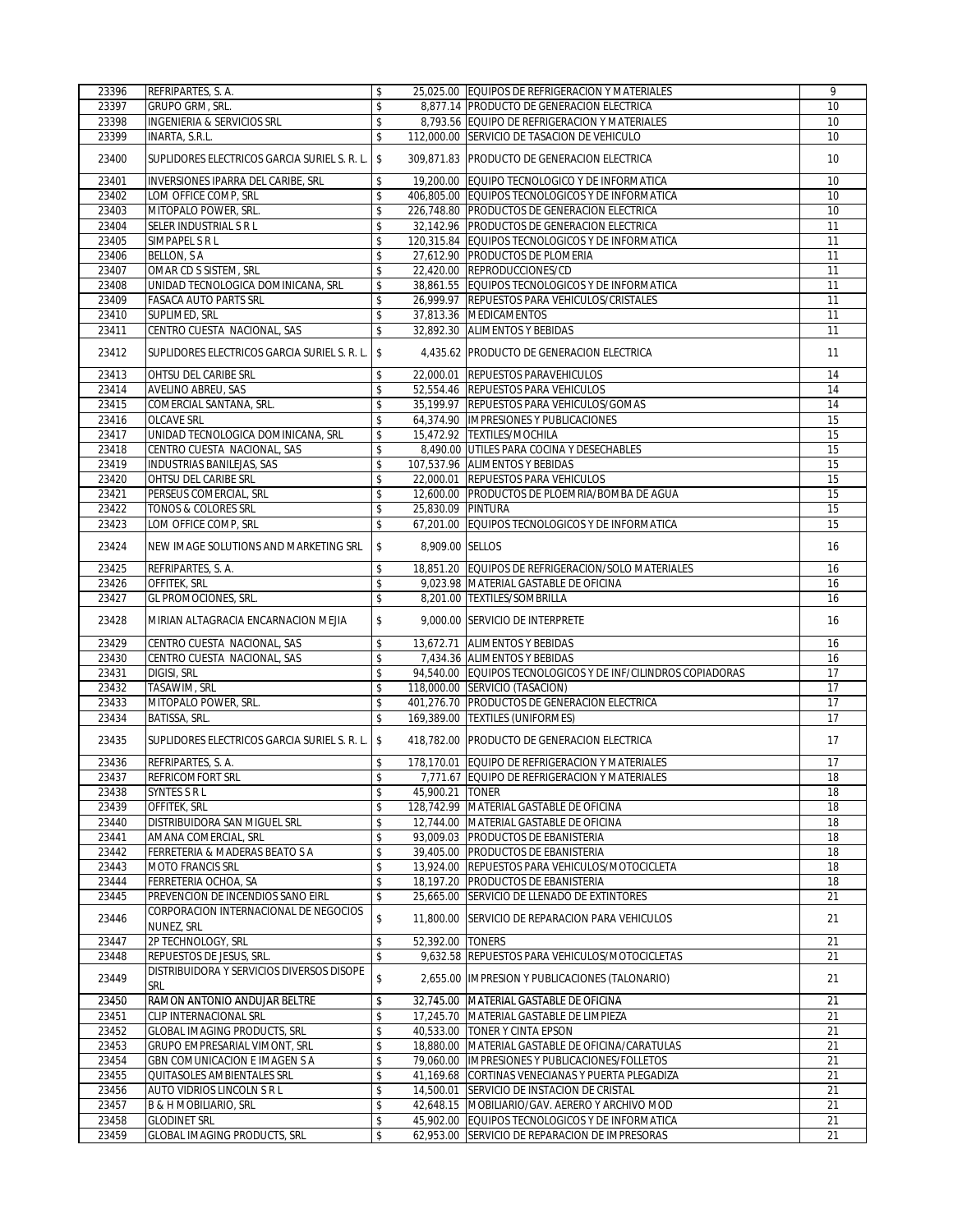| 23396 | REFRIPARTES, S. A.                                  | \$                      | 25,025.00 EQUIPOS DE REFRIGERACION Y MATERIALES              | 9      |
|-------|-----------------------------------------------------|-------------------------|--------------------------------------------------------------|--------|
| 23397 | GRUPO GRM, SRL.                                     | \$                      | 8,877.14 PRODUCTO DE GENERACION ELECTRICA                    | 10     |
| 23398 | <b>INGENIERIA &amp; SERVICIOS SRL</b>               | \$                      | 8,793.56 EQUIPO DE REFRIGERACION Y MATERIALES                | 10     |
| 23399 | INARTA, S.R.L.                                      | \$                      | 112.000.00 SERVICIO DE TASACION DE VEHICULO                  | 10     |
|       |                                                     |                         |                                                              |        |
| 23400 | SUPLIDORES ELECTRICOS GARCIA SURIEL S. R. L. \$     |                         | 309,871.83 PRODUCTO DE GENERACION ELECTRICA                  | 10     |
| 23401 | INVERSIONES IPARRA DEL CARIBE, SRL                  | \$                      | 19,200.00 EQUIPO TECNOLOGICO Y DE INFORMATICA                | 10     |
| 23402 | LOM OFFICE COMP, SRL                                | \$                      | 406,805.00 EQUIPOS TECNOLOGICOS Y DE INFORMATICA             | 10     |
| 23403 | MITOPALO POWER, SRL.                                | \$                      | 226,748.80 PRODUCTOS DE GENERACION ELECTRICA                 | 10     |
| 23404 | SELER INDUSTRIAL S R L                              | \$                      | 32,142.96 PRODUCTOS DE GENERACION ELECTRICA                  | 11     |
|       |                                                     | \$                      | 120,315.84 EQUIPOS TECNOLOGICOS Y DE INFORMATICA             | 11     |
| 23405 | SIMPAPEL S R L                                      |                         |                                                              |        |
| 23406 | <b>BELLON, SA</b>                                   | \$                      | 27,612.90 PRODUCTOS DE PLOMERIA                              | 11     |
| 23407 | OMAR CD S SISTEM, SRL                               | \$                      | 22,420.00 REPRODUCCIONES/CD                                  | 11     |
| 23408 | UNIDAD TECNOLOGICA DOMINICANA, SRL                  | \$                      | 38,861.55 EQUIPOS TECNOLOGICOS Y DE INFORMATICA              | 11     |
| 23409 | <b>FASACA AUTO PARTS SRL</b>                        | \$                      | 26,999.97 REPUESTOS PARA VEHICULOS/CRISTALES                 | 11     |
| 23410 | SUPLIMED, SRL                                       | \$                      | 37,813.36 MEDICAMENTOS                                       | 11     |
| 23411 | CENTRO CUESTA NACIONAL, SAS                         | \$                      | 32,892.30 ALIMENTOS Y BEBIDAS                                | 11     |
| 23412 | SUPLIDORES ELECTRICOS GARCIA SURIEL S. R. L. \$     |                         | 4,435.62 PRODUCTO DE GENERACION ELECTRICA                    | 11     |
| 23413 | OHTSU DEL CARIBE SRL                                | \$                      | 22,000.01 REPUESTOS PARAVEHICULOS                            | 14     |
| 23414 | <b>AVELINO ABREU, SAS</b>                           | \$                      | 52.554.46 REPUESTOS PARA VEHICULOS                           | 14     |
| 23415 | COMERCIAL SANTANA, SRL.                             | \$                      | 35,199.97 REPUESTOS PARA VEHICULOS/GOMAS                     | 14     |
| 23416 | <b>OLCAVE SRL</b>                                   | \$                      | 64,374.90 IMPRESIONES Y PUBLICACIONES                        | 15     |
| 23417 | UNIDAD TECNOLOGICA DOMINICANA, SRL                  | $\overline{\mathsf{s}}$ | 15,472.92 TEXTILES/MOCHILA                                   | 15     |
| 23418 | CENTRO CUESTA NACIONAL, SAS                         | \$                      | 8,490.00 UTILES PARA COCINA Y DESECHABLES                    | 15     |
| 23419 | <b>INDUSTRIAS BANILEJAS, SAS</b>                    | \$                      | 107.537.96 ALIMENTOS Y BEBIDAS                               | 15     |
| 23420 | <b>OHTSU DEL CARIBE SRL</b>                         | \$                      | 22,000.01 REPUESTOS PARA VEHICULOS                           | 15     |
| 23421 | PERSEUS COMERCIAL, SRL                              | \$                      | 12,600.00 PRODUCTOS DE PLOEMRIA/BOMBA DE AGUA                | 15     |
| 23422 | <b>TONOS &amp; COLORES SRL</b>                      | \$<br>25.830.09 PINTURA |                                                              | 15     |
|       | LOM OFFICE COMP, SRL                                |                         | 67,201.00 EQUIPOS TECNOLOGICOS Y DE INFORMATICA              |        |
| 23423 |                                                     | \$                      |                                                              | 15     |
| 23424 | NEW IMAGE SOLUTIONS AND MARKETING SRL               | \$<br>8,909.00 SELLOS   |                                                              | 16     |
| 23425 | REFRIPARTES, S. A.                                  | \$                      | 18,851.20 EQUIPOS DE REFRIGERACION/SOLO MATERIALES           | 16     |
| 23426 | OFFITEK, SRL                                        | \$                      | 9,023.98 MATERIAL GASTABLE DE OFICINA                        | 16     |
| 23427 | GL PROMOCIONES, SRL.                                | \$                      | 8,201.00 TEXTILES/SOMBRILLA                                  | 16     |
| 23428 | MIRIAN ALTAGRACIA ENCARNACION MEJIA                 | \$                      | 9,000.00 SERVICIO DE INTERPRETE                              | 16     |
| 23429 | CENTRO CUESTA NACIONAL, SAS                         | \$                      | 13,672.71 ALIMENTOS Y BEBIDAS                                | 16     |
| 23430 | CENTRO CUESTA NACIONAL, SAS                         | \$                      | 7,434.36 ALIMENTOS Y BEBIDAS                                 | 16     |
| 23431 | DIGISI, SRL                                         | \$                      | 94,540.00 EQUIPOS TECNOLOGICOS Y DE INF/CILINDROS COPIADORAS | 17     |
| 23432 | TASAWIM, SRL                                        | \$                      | 118,000.00 SERVICIO (TASACION)                               | 17     |
| 23433 | MITOPALO POWER, SRL.                                | $\pmb{\mathcal{S}}$     | 401,276.70 PRODUCTOS DE GENERACION ELECTRICA                 | 17     |
| 23434 | BATISSA, SRL.                                       | \$                      | 169,389.00 TEXTILES (UNIFORMES)                              | 17     |
| 23435 | SUPLIDORES ELECTRICOS GARCIA SURIEL S. R. L.        | \$                      | 418,782.00 PRODUCTO DE GENERACION ELECTRICA                  | 17     |
| 23436 | REFRIPARTES, S.A.                                   | \$                      | 178,170.01 EQUIPO DE REFRIGERACION Y MATERIALES              | 17     |
| 23437 | REFRICOMFORT SRL                                    | $\mathsf{\$}$           | 7,771.67 EQUIPO DE REFRIGERACION Y MATERIALES                | $18\,$ |
| 23438 | SYNTES S R L                                        | \$<br>45,900.21 TONER   |                                                              | 18     |
|       | <b>OFFITEK, SRL</b>                                 |                         |                                                              |        |
| 23439 |                                                     | \$                      | 128,742.99 MATERIAL GASTABLE DE OFICINA                      | 18     |
| 23440 | DISTRIBUIDORA SAN MIGUEL SRL                        | \$                      | 12.744.00 MATERIAL GASTABLE DE OFICINA                       | 18     |
| 23441 | AMANA COMERCIAL, SRL                                | \$                      | 93,009.03 PRODUCTOS DE EBANISTERIA                           | 18     |
| 23442 | FERRETERIA & MADERAS BEATO S A                      | \$                      | 39,405.00 PRODUCTOS DE EBANISTERIA                           | 18     |
| 23443 | <b>MOTO FRANCIS SRL</b>                             | \$                      | 13,924.00 REPUESTOS PARA VEHICULOS/MOTOCICLETA               | 18     |
| 23444 | FERRETERIA OCHOA, SA                                | \$                      | 18,197.20 PRODUCTOS DE EBANISTERIA                           | 18     |
| 23445 | PREVENCION DE INCENDIOS SANO EIRL                   | \$                      | 25,665.00 SERVICIO DE LLENADO DE EXTINTORES                  | 21     |
| 23446 | CORPORACION INTERNACIONAL DE NEGOCIOS<br>NUNEZ, SRL | \$<br>11,800.00         | SERVICIO DE REPARACION PARA VEHICULOS                        | 21     |
| 23447 | 2P TECHNOLOGY, SRL                                  | \$<br>52,392.00 TONERS  |                                                              | 21     |
| 23448 | REPUESTOS DE JESUS, SRL.                            | \$                      | 9,632.58 REPUESTOS PARA VEHICULOS/MOTOCICLETAS               | 21     |
| 23449 | DISTRIBUIDORA Y SERVICIOS DIVERSOS DISOPE<br>SRL    | \$                      | 2,655.00 IMPRESION Y PUBLICACIONES (TALONARIO)               | 21     |
| 23450 | RAMON ANTONIO ANDUJAR BELTRE                        | \$                      | 32,745.00 MATERIAL GASTABLE DE OFICINA                       | 21     |
| 23451 | CLIP INTERNACIONAL SRL                              | \$                      | 17,245.70 MATERIAL GASTABLE DE LIMPIEZA                      | 21     |
| 23452 | <b>GLOBAL IMAGING PRODUCTS, SRL</b>                 | \$                      | 40,533.00 TONER Y CINTA EPSON                                | 21     |
| 23453 | GRUPO EMPRESARIAL VIMONT, SRL                       | \$                      | 18,880.00 MATERIAL GASTABLE DE OFICINA/CARATULAS             | 21     |
| 23454 | GBN COMUNICACION E IMAGEN S A                       | \$                      | 79,060.00 IMPRESIONES Y PUBLICACIONES/FOLLETOS               | 21     |
|       | QUITASOLES AMBIENTALES SRL                          | \$                      |                                                              |        |
| 23455 |                                                     |                         | 41,169.68 CORTINAS VENECIANAS Y PUERTA PLEGADIZA             | 21     |
| 23456 | AUTO VIDRIOS LINCOLN S R L                          | \$                      | 14,500.01 SERVICIO DE INSTACION DE CRISTAL                   | 21     |
| 23457 | B & H MOBILIARIO, SRL                               | \$                      | 42,648.15 MOBILIARIO/GAV. AERERO Y ARCHIVO MOD               | 21     |
| 23458 | <b>GLODINET SRL</b>                                 | \$                      | 45,902.00 EQUIPOS TECNOLOGICOS Y DE INFORMATICA              | 21     |
| 23459 | <b>GLOBAL IMAGING PRODUCTS, SRL</b>                 | \$                      | 62,953.00 SERVICIO DE REPARACION DE IMPRESORAS               | 21     |